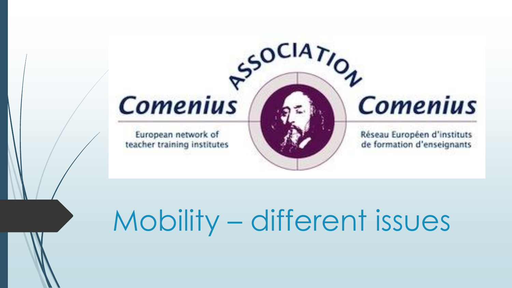

# Mobility – different issues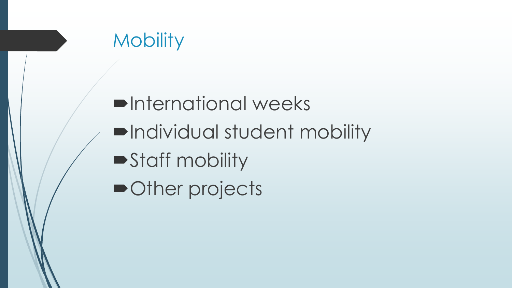## **Mobility**

 $\blacksquare$ **International weeks** Individual student mobility Staff mobility ■Other projects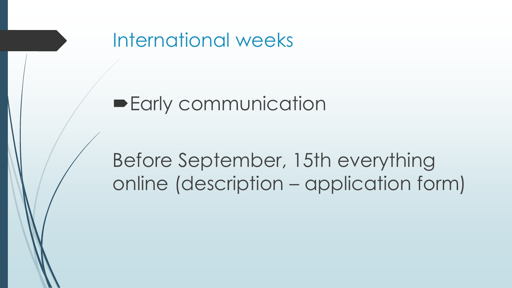

#### **Early communication**

## Before September, 15th everything online (description – application form)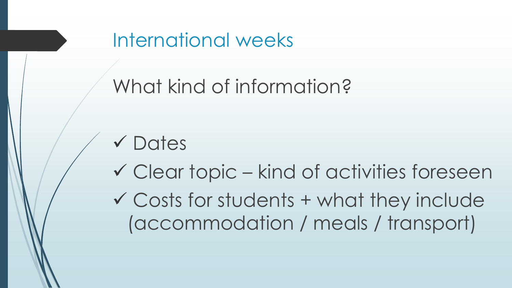International weeks

# What kind of information?

- **√Dates**
- Clear topic kind of activities foreseen  $\checkmark$  Costs for students + what they include
	- (accommodation / meals / transport)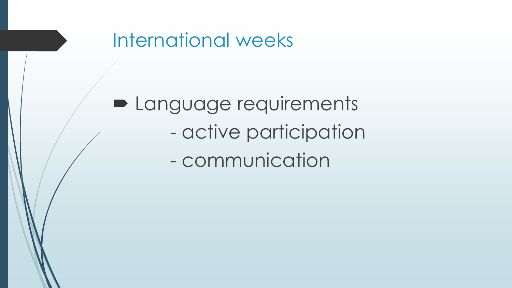

**Delanguage requirements** - active participation - communication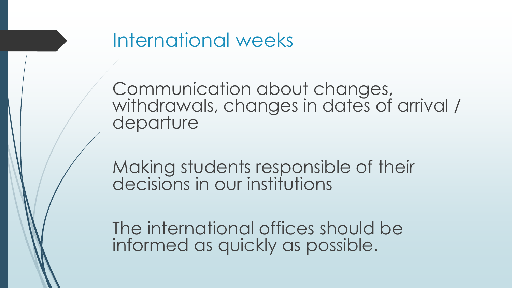

Communication about changes, withdrawals, changes in dates of arrival / departure

Making students responsible of their decisions in our institutions

The international offices should be informed as quickly as possible.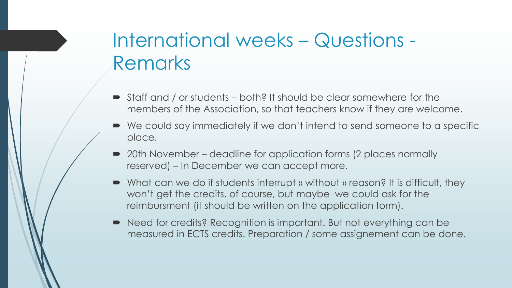## International weeks – Questions - Remarks

- Staff and / or students both? It should be clear somewhere for the members of the Association, so that teachers know if they are welcome.
- We could say immediately if we don't intend to send someone to a specific place.
- 20th November deadline for application forms (2 places normally reserved) – In December we can accept more.
- What can we do if students interrupt « without » reason? It is difficult, they won't get the credits, of course, but maybe we could ask for the reimbursment (it should be written on the application form).
- Need for credits? Recognition is important. But not everything can be measured in ECTS credits. Preparation / some assignement can be done.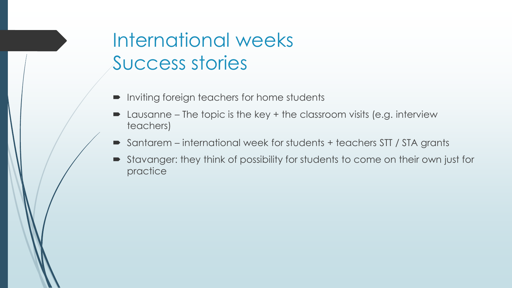## International weeks Success stories

- Inviting foreign teachers for home students
- Lausanne The topic is the key + the classroom visits (e.g. interview teachers)
- Santarem international week for students + teachers STT / STA grants
- Stavanger: they think of possibility for students to come on their own just for practice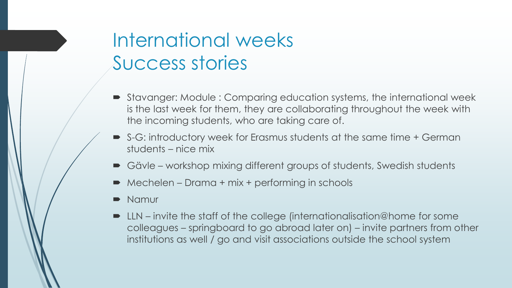## International weeks Success stories

- Stavanger: Module : Comparing education systems, the international week is the last week for them, they are collaborating throughout the week with the incoming students, who are taking care of.
- S-G: introductory week for Erasmus students at the same time + German students – nice mix
- Gävle workshop mixing different groups of students, Swedish students
- Mechelen Drama + mix + performing in schools
- Namur
- LLN invite the staff of the college (internationalisation@home for some colleagues – springboard to go abroad later on) – invite partners from other institutions as well / go and visit associations outside the school system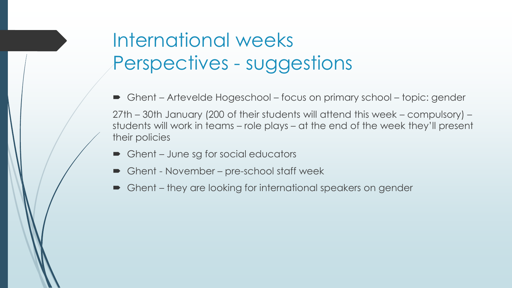## International weeks Perspectives - suggestions

- Ghent Artevelde Hogeschool focus on primary school topic: gender 27th – 30th January (200 of their students will attend this week – compulsory) – students will work in teams – role plays – at the end of the week they'll present their policies
- Ghent June sg for social educators
- Ghent November pre-school staff week
- Ghent they are looking for international speakers on gender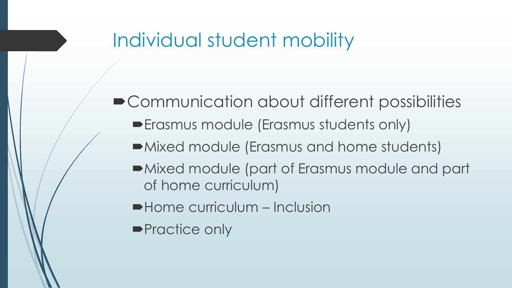■ Communication about different possibilities

- Erasmus module (Erasmus students only)
- Mixed module (Erasmus and home students)
- Mixed module (part of Erasmus module and part of home curriculum)
- Home curriculum Inclusion
- **Practice only**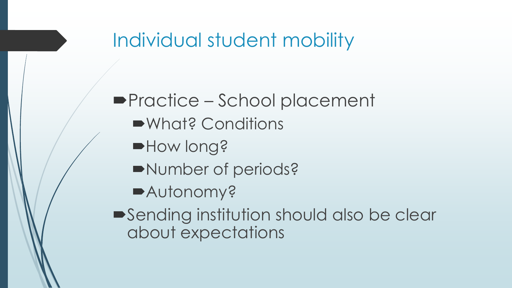#### ■Practice – School placement

- What? Conditions
- $\blacksquare$  How long?
- Number of periods?
- Autonomy?
- Sending institution should also be clear about expectations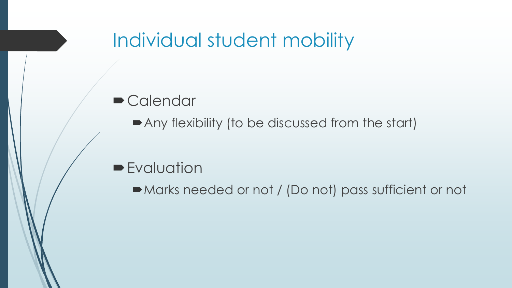#### **Calendar**

■ Any flexibility (to be discussed from the start)

#### **Evaluation**

Marks needed or not / (Do not) pass sufficient or not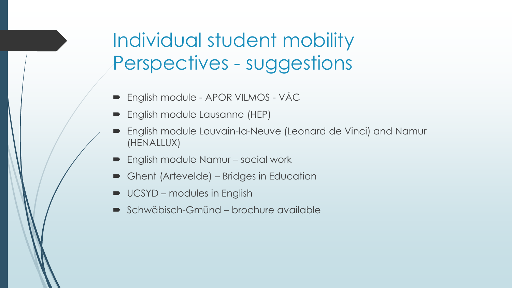Individual student mobility Perspectives - suggestions

- English module APOR VILMOS VÁC
- **English module Lausanne (HEP)**
- English module Louvain-la-Neuve (Leonard de Vinci) and Namur (HENALLUX)
- English module Namur social work
- Ghent (Artevelde) Bridges in Education
- UCSYD modules in English
- Schwäbisch-Gmünd brochure available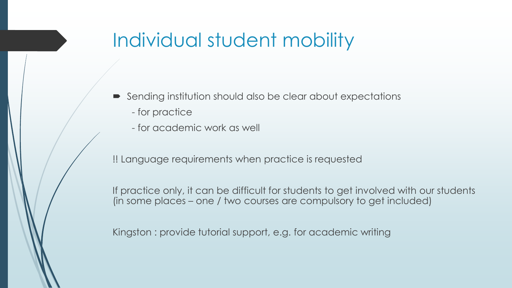- Sending institution should also be clear about expectations
	- for practice
	- for academic work as well

!! Language requirements when practice is requested

If practice only, it can be difficult for students to get involved with our students (in some places – one / two courses are compulsory to get included)

Kingston : provide tutorial support, e.g. for academic writing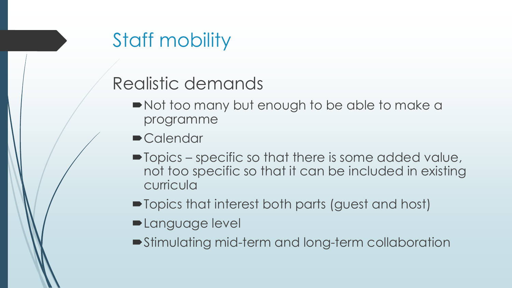# Staff mobility

#### Realistic demands

- Not too many but enough to be able to make a programme
- **Calendar**
- $\blacksquare$  Topics specific so that there is some added value, not too specific so that it can be included in existing curricula
- $\blacksquare$  Topics that interest both parts (guest and host)
- **-Language level**
- Stimulating mid-term and long-term collaboration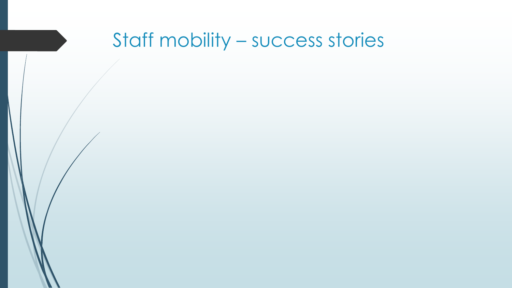## Staff mobility – success stories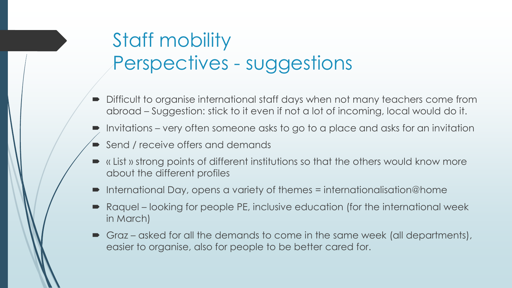## Staff mobility Perspectives - suggestions

- Difficult to organise international staff days when not many teachers come from abroad – Suggestion: stick to it even if not a lot of incoming, local would do it.
- Invitations very often someone asks to go to a place and asks for an invitation
- Send / receive offers and demands
- « List » strong points of different institutions so that the others would know more about the different profiles
- International Day, opens a variety of themes = internationalisation@home
- Raquel looking for people PE, inclusive education (for the international week in March)
- Graz asked for all the demands to come in the same week (all departments), easier to organise, also for people to be better cared for.